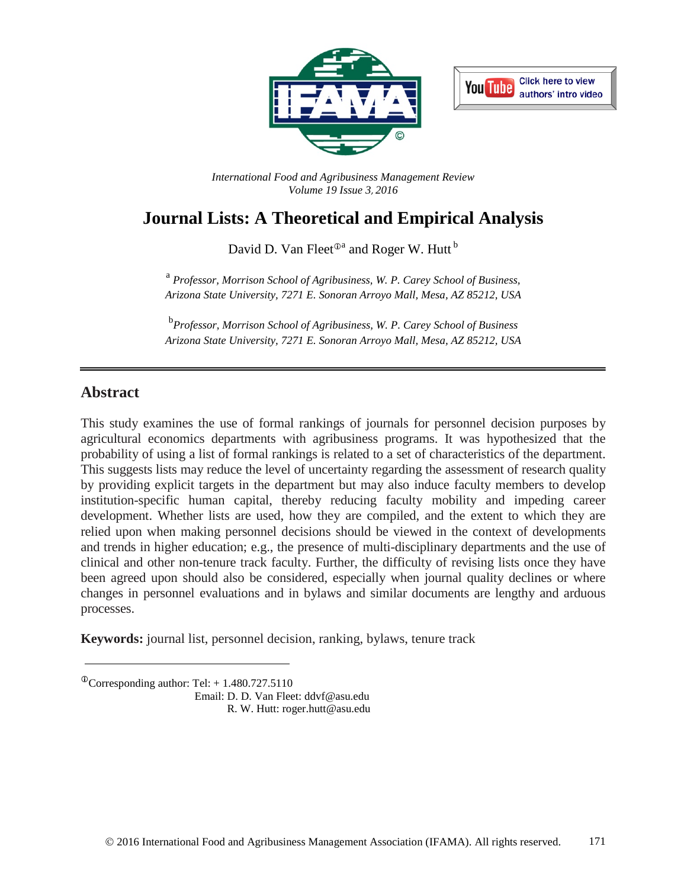



*International Food and Agribusiness Management Review Volume 19 Issue 3*, *2016*

# **Journal Lists: A Theoretical and Empirical Analysis**

David D. Van Fleet $^{\oplus a}$  and Roger W. Hutt<sup>b</sup>

<sup>a</sup> *Professor, Morrison School of Agribusiness, W. P. Carey School of Business, Arizona State University, 7271 E. Sonoran Arroyo Mall, Mesa, AZ 85212, USA*

b *Professor, Morrison School of Agribusiness, W. P. Carey School of Business Arizona State University, 7271 E. Sonoran Arroyo Mall, Mesa, AZ 85212, USA*

## **Abstract**

This study examines the use of formal rankings of journals for personnel decision purposes by agricultural economics departments with agribusiness programs. It was hypothesized that the probability of using a list of formal rankings is related to a set of characteristics of the department. This suggests lists may reduce the level of uncertainty regarding the assessment of research quality by providing explicit targets in the department but may also induce faculty members to develop institution-specific human capital, thereby reducing faculty mobility and impeding career development. Whether lists are used, how they are compiled, and the extent to which they are relied upon when making personnel decisions should be viewed in the context of developments and trends in higher education; e.g., the presence of multi-disciplinary departments and the use of clinical and other non-tenure track faculty. Further, the difficulty of revising lists once they have been agreed upon should also be considered, especially when journal quality declines or where changes in personnel evaluations and in bylaws and similar documents are lengthy and arduous processes.

**Keywords:** journal list, personnel decision, ranking, bylaws, tenure track

Email: D. D. Van Fleet: ddvf@asu.edu R. W. Hutt: roger.hutt@asu.edu

 $^{\circ}$ Corresponding author: Tel: + 1.480.727.5110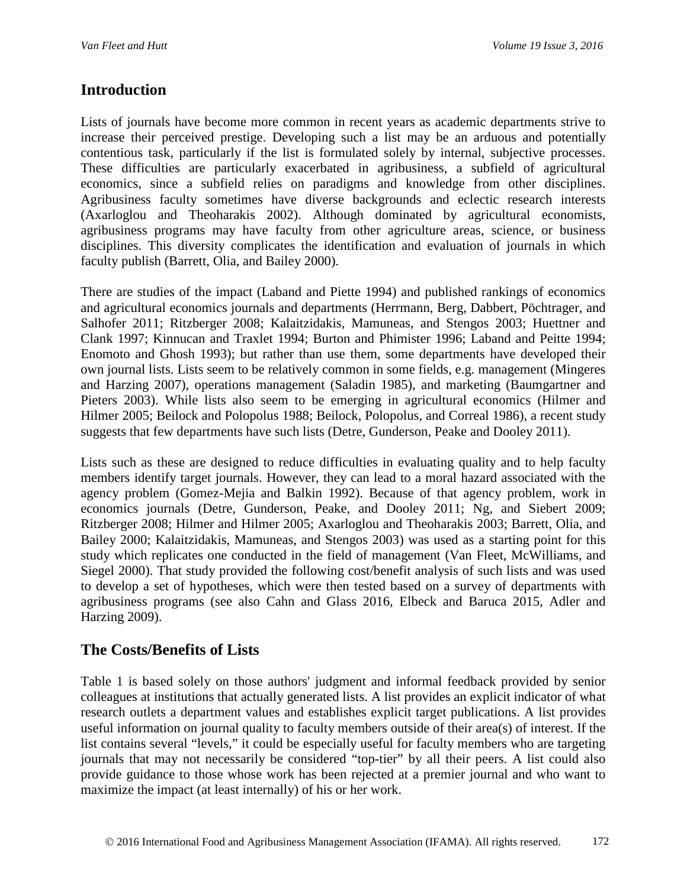## **Introduction**

Lists of journals have become more common in recent years as academic departments strive to increase their perceived prestige. Developing such a list may be an arduous and potentially contentious task, particularly if the list is formulated solely by internal, subjective processes. These difficulties are particularly exacerbated in agribusiness, a subfield of agricultural economics, since a subfield relies on paradigms and knowledge from other disciplines. Agribusiness faculty sometimes have diverse backgrounds and eclectic research interests (Axarloglou and Theoharakis 2002). Although dominated by agricultural economists, agribusiness programs may have faculty from other agriculture areas, science, or business disciplines. This diversity complicates the identification and evaluation of journals in which faculty publish (Barrett, Olia, and Bailey 2000).

There are studies of the impact (Laband and Piette 1994) and published rankings of economics and agricultural economics journals and departments (Herrmann, Berg, Dabbert, Pöchtrager, and Salhofer 2011; Ritzberger 2008; Kalaitzidakis, Mamuneas, and Stengos 2003; Huettner and Clank 1997; Kinnucan and Traxlet 1994; Burton and Phimister 1996; Laband and Peitte 1994; Enomoto and Ghosh 1993); but rather than use them, some departments have developed their own journal lists. Lists seem to be relatively common in some fields, e.g. management (Mingeres and Harzing 2007), operations management (Saladin 1985), and marketing (Baumgartner and Pieters 2003). While lists also seem to be emerging in agricultural economics (Hilmer and Hilmer 2005; Beilock and Polopolus 1988; Beilock, Polopolus, and Correal 1986), a recent study suggests that few departments have such lists (Detre, Gunderson, Peake and Dooley 2011).

Lists such as these are designed to reduce difficulties in evaluating quality and to help faculty members identify target journals. However, they can lead to a moral hazard associated with the agency problem (Gomez-Mejia and Balkin 1992). Because of that agency problem, work in economics journals (Detre, Gunderson, Peake, and Dooley 2011; Ng, and Siebert 2009; Ritzberger 2008; Hilmer and Hilmer 2005; Axarloglou and Theoharakis 2003; Barrett, Olia, and Bailey 2000; Kalaitzidakis, Mamuneas, and Stengos 2003) was used as a starting point for this study which replicates one conducted in the field of management (Van Fleet, McWilliams, and Siegel 2000). That study provided the following cost/benefit analysis of such lists and was used to develop a set of hypotheses, which were then tested based on a survey of departments with agribusiness programs (see also Cahn and Glass 2016, Elbeck and Baruca 2015, Adler and Harzing 2009).

### **The Costs/Benefits of Lists**

Table 1 is based solely on those authors' judgment and informal feedback provided by senior colleagues at institutions that actually generated lists. A list provides an explicit indicator of what research outlets a department values and establishes explicit target publications. A list provides useful information on journal quality to faculty members outside of their area(s) of interest. If the list contains several "levels," it could be especially useful for faculty members who are targeting journals that may not necessarily be considered "top-tier" by all their peers. A list could also provide guidance to those whose work has been rejected at a premier journal and who want to maximize the impact (at least internally) of his or her work.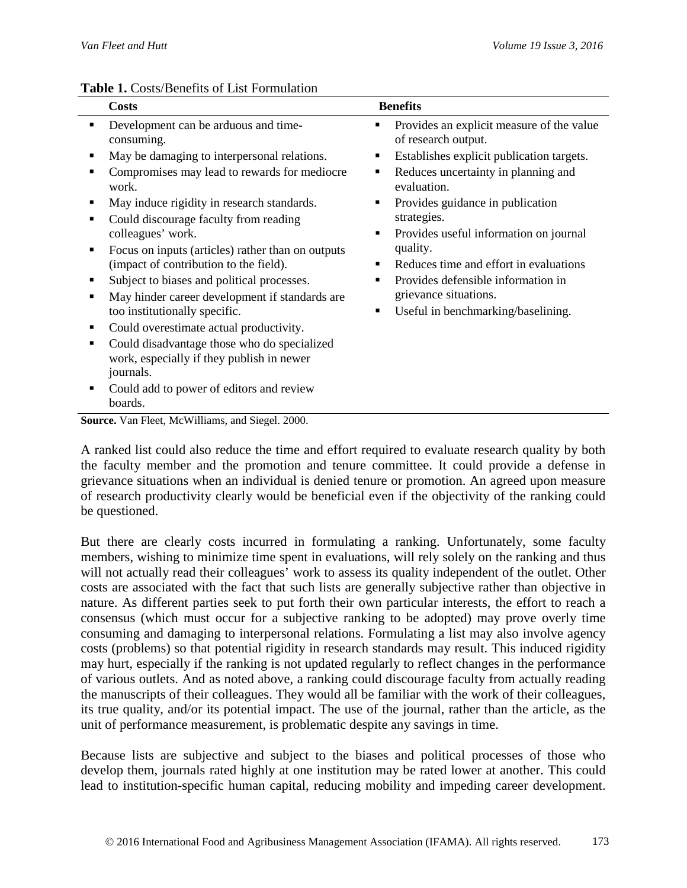|                       | <b>Tuble 1:</b> Costs/Denemis of List I chindianon                                                                                                                                                                                                                                                                                                                                  |             |                                                                                                                                                                                                                                                      |  |  |  |  |  |  |  |  |
|-----------------------|-------------------------------------------------------------------------------------------------------------------------------------------------------------------------------------------------------------------------------------------------------------------------------------------------------------------------------------------------------------------------------------|-------------|------------------------------------------------------------------------------------------------------------------------------------------------------------------------------------------------------------------------------------------------------|--|--|--|--|--|--|--|--|
|                       | <b>Costs</b>                                                                                                                                                                                                                                                                                                                                                                        |             | <b>Benefits</b>                                                                                                                                                                                                                                      |  |  |  |  |  |  |  |  |
| $\blacksquare$        | Development can be arduous and time-<br>consuming.                                                                                                                                                                                                                                                                                                                                  |             | Provides an explicit measure of the value<br>of research output.                                                                                                                                                                                     |  |  |  |  |  |  |  |  |
| ٠                     | May be damaging to interpersonal relations.                                                                                                                                                                                                                                                                                                                                         |             | Establishes explicit publication targets.                                                                                                                                                                                                            |  |  |  |  |  |  |  |  |
| ■                     | Compromises may lead to rewards for mediocre<br>work.                                                                                                                                                                                                                                                                                                                               | ٠           | Reduces uncertainty in planning and<br>evaluation.                                                                                                                                                                                                   |  |  |  |  |  |  |  |  |
| п<br>п<br>п<br>п<br>п | May induce rigidity in research standards.<br>Could discourage faculty from reading<br>colleagues' work.<br>Focus on inputs (articles) rather than on outputs<br>(impact of contribution to the field).<br>Subject to biases and political processes.<br>May hinder career development if standards are<br>too institutionally specific.<br>Could overestimate actual productivity. | ٠<br>٠<br>٠ | Provides guidance in publication<br>strategies.<br>Provides useful information on journal<br>quality.<br>Reduces time and effort in evaluations<br>Provides defensible information in<br>grievance situations.<br>Useful in benchmarking/baselining. |  |  |  |  |  |  |  |  |
|                       | Could disadvantage those who do specialized<br>work, especially if they publish in newer<br>journals.                                                                                                                                                                                                                                                                               |             |                                                                                                                                                                                                                                                      |  |  |  |  |  |  |  |  |
| п                     | Could add to power of editors and review<br>boards.                                                                                                                                                                                                                                                                                                                                 |             |                                                                                                                                                                                                                                                      |  |  |  |  |  |  |  |  |

#### **Table 1.** Costs/Benefits of List Formulation

**Source.** Van Fleet, McWilliams, and Siegel. 2000.

A ranked list could also reduce the time and effort required to evaluate research quality by both the faculty member and the promotion and tenure committee. It could provide a defense in grievance situations when an individual is denied tenure or promotion. An agreed upon measure of research productivity clearly would be beneficial even if the objectivity of the ranking could be questioned.

But there are clearly costs incurred in formulating a ranking. Unfortunately, some faculty members, wishing to minimize time spent in evaluations, will rely solely on the ranking and thus will not actually read their colleagues' work to assess its quality independent of the outlet. Other costs are associated with the fact that such lists are generally subjective rather than objective in nature. As different parties seek to put forth their own particular interests, the effort to reach a consensus (which must occur for a subjective ranking to be adopted) may prove overly time consuming and damaging to interpersonal relations. Formulating a list may also involve agency costs (problems) so that potential rigidity in research standards may result. This induced rigidity may hurt, especially if the ranking is not updated regularly to reflect changes in the performance of various outlets. And as noted above, a ranking could discourage faculty from actually reading the manuscripts of their colleagues. They would all be familiar with the work of their colleagues, its true quality, and/or its potential impact. The use of the journal, rather than the article, as the unit of performance measurement, is problematic despite any savings in time.

Because lists are subjective and subject to the biases and political processes of those who develop them, journals rated highly at one institution may be rated lower at another. This could lead to institution-specific human capital, reducing mobility and impeding career development.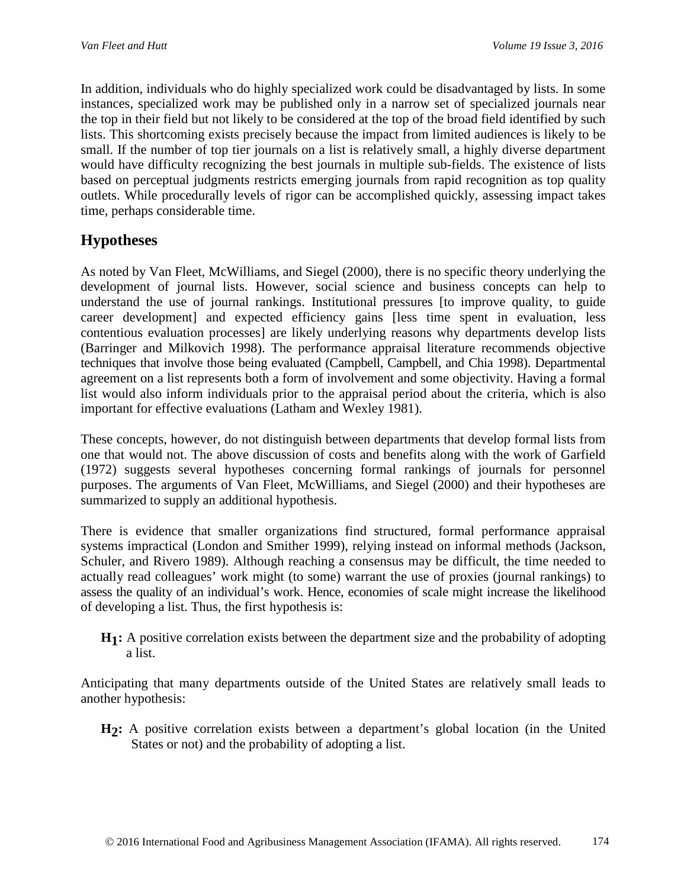In addition, individuals who do highly specialized work could be disadvantaged by lists. In some instances, specialized work may be published only in a narrow set of specialized journals near the top in their field but not likely to be considered at the top of the broad field identified by such lists. This shortcoming exists precisely because the impact from limited audiences is likely to be small. If the number of top tier journals on a list is relatively small, a highly diverse department would have difficulty recognizing the best journals in multiple sub-fields. The existence of lists based on perceptual judgments restricts emerging journals from rapid recognition as top quality outlets. While procedurally levels of rigor can be accomplished quickly, assessing impact takes time, perhaps considerable time.

## **Hypotheses**

As noted by Van Fleet, McWilliams, and Siegel (2000), there is no specific theory underlying the development of journal lists. However, social science and business concepts can help to understand the use of journal rankings. Institutional pressures [to improve quality, to guide career development] and expected efficiency gains [less time spent in evaluation, less contentious evaluation processes] are likely underlying reasons why departments develop lists (Barringer and Milkovich 1998). The performance appraisal literature recommends objective techniques that involve those being evaluated (Campbell, Campbell, and Chia 1998). Departmental agreement on a list represents both a form of involvement and some objectivity. Having a formal list would also inform individuals prior to the appraisal period about the criteria, which is also important for effective evaluations (Latham and Wexley 1981).

These concepts, however, do not distinguish between departments that develop formal lists from one that would not. The above discussion of costs and benefits along with the work of Garfield (1972) suggests several hypotheses concerning formal rankings of journals for personnel purposes. The arguments of Van Fleet, McWilliams, and Siegel (2000) and their hypotheses are summarized to supply an additional hypothesis.

There is evidence that smaller organizations find structured, formal performance appraisal systems impractical (London and Smither 1999), relying instead on informal methods (Jackson, Schuler, and Rivero 1989). Although reaching a consensus may be difficult, the time needed to actually read colleagues' work might (to some) warrant the use of proxies (journal rankings) to assess the quality of an individual's work. Hence, economies of scale might increase the likelihood of developing a list. Thus, the first hypothesis is:

**H1:** A positive correlation exists between the department size and the probability of adopting a list.

Anticipating that many departments outside of the United States are relatively small leads to another hypothesis:

**H2:** A positive correlation exists between a department's global location (in the United States or not) and the probability of adopting a list.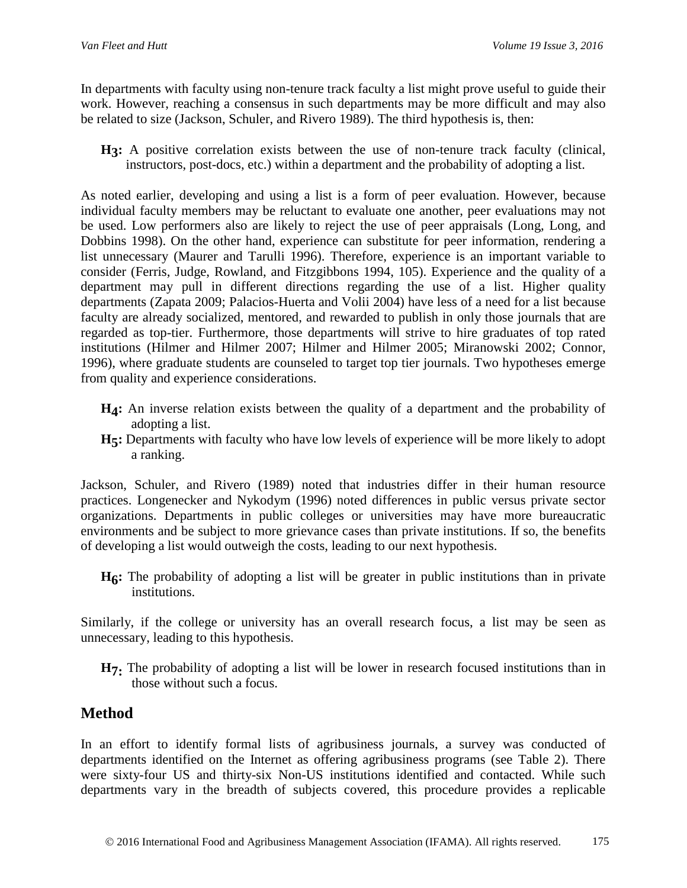In departments with faculty using non-tenure track faculty a list might prove useful to guide their work. However, reaching a consensus in such departments may be more difficult and may also be related to size (Jackson, Schuler, and Rivero 1989). The third hypothesis is, then:

H<sub>3</sub>: A positive correlation exists between the use of non-tenure track faculty (clinical, instructors, post-docs, etc.) within a department and the probability of adopting a list.

As noted earlier, developing and using a list is a form of peer evaluation. However, because individual faculty members may be reluctant to evaluate one another, peer evaluations may not be used. Low performers also are likely to reject the use of peer appraisals (Long, Long, and Dobbins 1998). On the other hand, experience can substitute for peer information, rendering a list unnecessary (Maurer and Tarulli 1996). Therefore, experience is an important variable to consider (Ferris, Judge, Rowland, and Fitzgibbons 1994, 105). Experience and the quality of a department may pull in different directions regarding the use of a list. Higher quality departments (Zapata 2009; Palacios-Huerta and Volii 2004) have less of a need for a list because faculty are already socialized, mentored, and rewarded to publish in only those journals that are regarded as top-tier. Furthermore, those departments will strive to hire graduates of top rated institutions (Hilmer and Hilmer 2007; Hilmer and Hilmer 2005; Miranowski 2002; Connor, 1996), where graduate students are counseled to target top tier journals. Two hypotheses emerge from quality and experience considerations.

- **H4:** An inverse relation exists between the quality of a department and the probability of adopting a list.
- **H5:** Departments with faculty who have low levels of experience will be more likely to adopt a ranking.

Jackson, Schuler, and Rivero (1989) noted that industries differ in their human resource practices. Longenecker and Nykodym (1996) noted differences in public versus private sector organizations. Departments in public colleges or universities may have more bureaucratic environments and be subject to more grievance cases than private institutions. If so, the benefits of developing a list would outweigh the costs, leading to our next hypothesis.

**H6:** The probability of adopting a list will be greater in public institutions than in private institutions.

Similarly, if the college or university has an overall research focus, a list may be seen as unnecessary, leading to this hypothesis.

**H7:** The probability of adopting a list will be lower in research focused institutions than in those without such a focus.

## **Method**

In an effort to identify formal lists of agribusiness journals, a survey was conducted of departments identified on the Internet as offering agribusiness programs (see Table 2). There were sixty-four US and thirty-six Non-US institutions identified and contacted. While such departments vary in the breadth of subjects covered, this procedure provides a replicable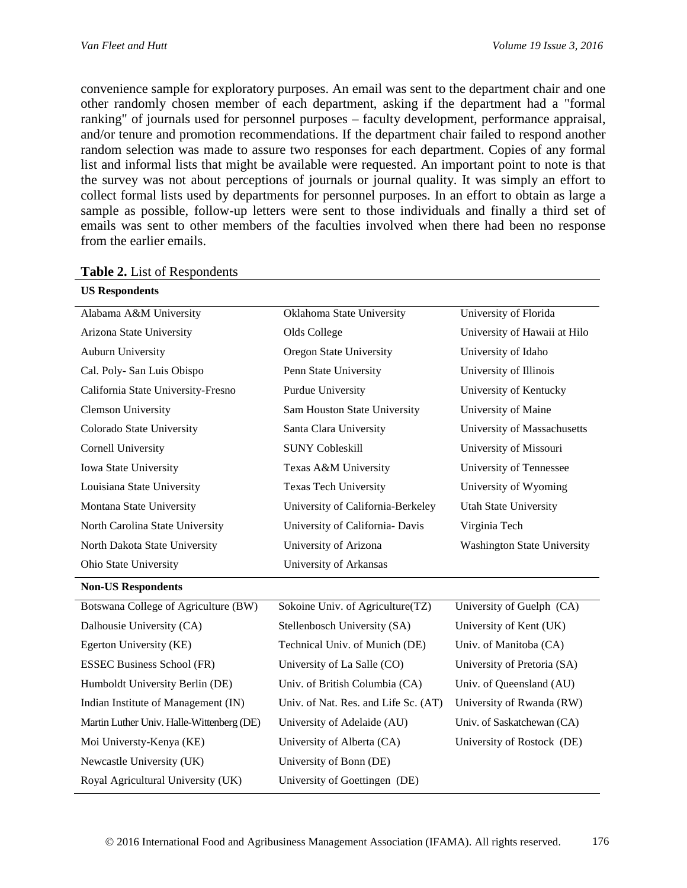convenience sample for exploratory purposes. An email was sent to the department chair and one other randomly chosen member of each department, asking if the department had a "formal ranking" of journals used for personnel purposes – faculty development, performance appraisal, and/or tenure and promotion recommendations. If the department chair failed to respond another random selection was made to assure two responses for each department. Copies of any formal list and informal lists that might be available were requested. An important point to note is that the survey was not about perceptions of journals or journal quality. It was simply an effort to collect formal lists used by departments for personnel purposes. In an effort to obtain as large a sample as possible, follow-up letters were sent to those individuals and finally a third set of emails was sent to other members of the faculties involved when there had been no response from the earlier emails.

| <b>US Respondents</b>                     |                                      |                                    |
|-------------------------------------------|--------------------------------------|------------------------------------|
| Alabama A&M University                    | Oklahoma State University            | University of Florida              |
| Arizona State University                  | Olds College                         | University of Hawaii at Hilo       |
| Auburn University                         | <b>Oregon State University</b>       | University of Idaho                |
| Cal. Poly- San Luis Obispo                | Penn State University                | University of Illinois             |
| California State University-Fresno        | Purdue University                    | University of Kentucky             |
| <b>Clemson University</b>                 | Sam Houston State University         | University of Maine                |
| Colorado State University                 | Santa Clara University               | University of Massachusetts        |
| Cornell University                        | <b>SUNY Cobleskill</b>               | University of Missouri             |
| Iowa State University                     | Texas A&M University                 | University of Tennessee            |
| Louisiana State University                | <b>Texas Tech University</b>         | University of Wyoming              |
| Montana State University                  | University of California-Berkeley    | <b>Utah State University</b>       |
| North Carolina State University           | University of California- Davis      | Virginia Tech                      |
| North Dakota State University             | University of Arizona                | <b>Washington State University</b> |
| Ohio State University                     | University of Arkansas               |                                    |
| <b>Non-US Respondents</b>                 |                                      |                                    |
| Botswana College of Agriculture (BW)      | Sokoine Univ. of Agriculture(TZ)     | University of Guelph (CA)          |
| Dalhousie University (CA)                 | Stellenbosch University (SA)         | University of Kent (UK)            |
| Egerton University (KE)                   | Technical Univ. of Munich (DE)       | Univ. of Manitoba (CA)             |
| <b>ESSEC Business School (FR)</b>         | University of La Salle (CO)          | University of Pretoria (SA)        |
| Humboldt University Berlin (DE)           | Univ. of British Columbia (CA)       | Univ. of Queensland (AU)           |
| Indian Institute of Management (IN)       | Univ. of Nat. Res. and Life Sc. (AT) | University of Rwanda (RW)          |
| Martin Luther Univ. Halle-Wittenberg (DE) | University of Adelaide (AU)          | Univ. of Saskatchewan (CA)         |
| Moi Universty-Kenya (KE)                  | University of Alberta (CA)           | University of Rostock (DE)         |
| Newcastle University (UK)                 | University of Bonn (DE)              |                                    |
| Royal Agricultural University (UK)        | University of Goettingen (DE)        |                                    |
|                                           |                                      |                                    |

#### **Table 2.** List of Respondents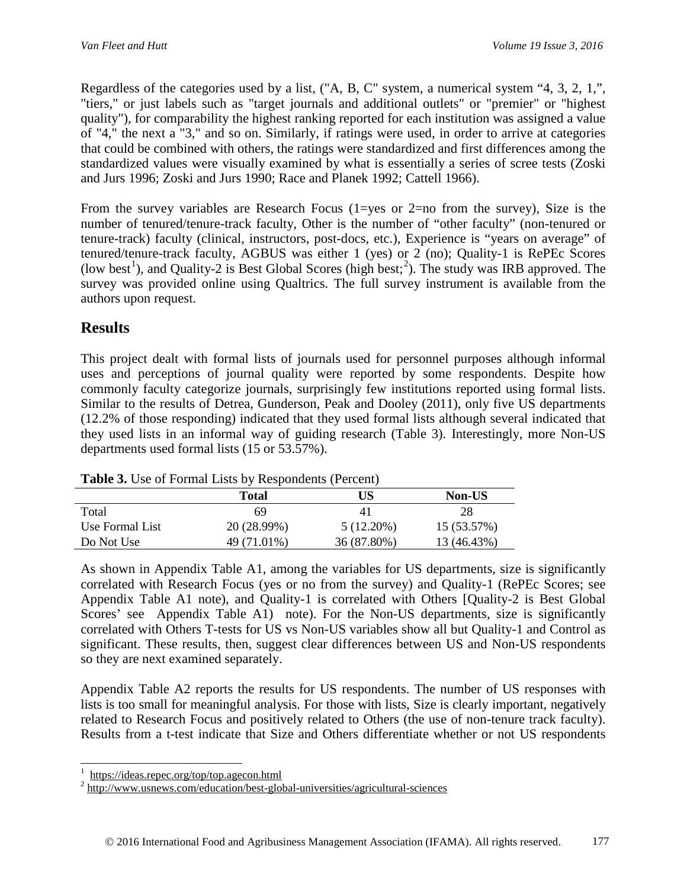Regardless of the categories used by a list, ("A, B, C" system, a numerical system "4, 3, 2, 1,", "tiers," or just labels such as "target journals and additional outlets" or "premier" or "highest quality"), for comparability the highest ranking reported for each institution was assigned a value of "4," the next a "3," and so on. Similarly, if ratings were used, in order to arrive at categories that could be combined with others, the ratings were standardized and first differences among the standardized values were visually examined by what is essentially a series of scree tests (Zoski and Jurs 1996; Zoski and Jurs 1990; Race and Planek 1992; Cattell 1966).

From the survey variables are Research Focus  $(1 = yes \text{ or } 2 = no \text{ from the survey})$ , Size is the number of tenured/tenure-track faculty, Other is the number of "other faculty" (non-tenured or tenure-track) faculty (clinical, instructors, post-docs, etc.), Experience is "years on average" of tenured/tenure-track faculty, AGBUS was either 1 (yes) or 2 (no); Quality-1 is RePEc Scores (low best<sup>[1](#page-6-0)</sup>), and Quality-[2](#page-6-1) is Best Global Scores (high best;<sup>2</sup>). The study was IRB approved. The survey was provided online using Qualtrics. The full survey instrument is available from the authors upon request.

## **Results**

This project dealt with formal lists of journals used for personnel purposes although informal uses and perceptions of journal quality were reported by some respondents. Despite how commonly faculty categorize journals, surprisingly few institutions reported using formal lists. Similar to the results of Detrea, Gunderson, Peak and Dooley (2011), only five US departments (12.2% of those responding) indicated that they used formal lists although several indicated that they used lists in an informal way of guiding research (Table 3). Interestingly, more Non-US departments used formal lists (15 or 53.57%).

|                 | <b>Total</b> | US           | <b>Non-US</b> |
|-----------------|--------------|--------------|---------------|
| Total           | 69           | 4 I          | 28            |
| Use Formal List | 20 (28.99%)  | $5(12.20\%)$ | 15 (53.57%)   |
| Do Not Use      | 49 (71.01%)  | 36 (87.80%)  | 13 (46.43%)   |

As shown in Appendix Table A1, among the variables for US departments, size is significantly correlated with Research Focus (yes or no from the survey) and Quality-1 (RePEc Scores; see Appendix Table A1 note), and Quality-1 is correlated with Others [Quality-2 is Best Global Scores' see Appendix Table A1) note). For the Non-US departments, size is significantly correlated with Others T-tests for US vs Non-US variables show all but Quality-1 and Control as significant. These results, then, suggest clear differences between US and Non-US respondents so they are next examined separately.

Appendix Table A2 reports the results for US respondents. The number of US responses with lists is too small for meaningful analysis. For those with lists, Size is clearly important, negatively related to Research Focus and positively related to Others (the use of non-tenure track faculty). Results from a t-test indicate that Size and Others differentiate whether or not US respondents

<sup>|&</sup>lt;br>|<br>|

<span id="page-6-1"></span><span id="page-6-0"></span> $\frac{1}{2}$  <https://ideas.repec.org/top/top.agecon.html><br> $\frac{2}{1}$  <http://www.usnews.com/education/best-global-universities/agricultural-sciences>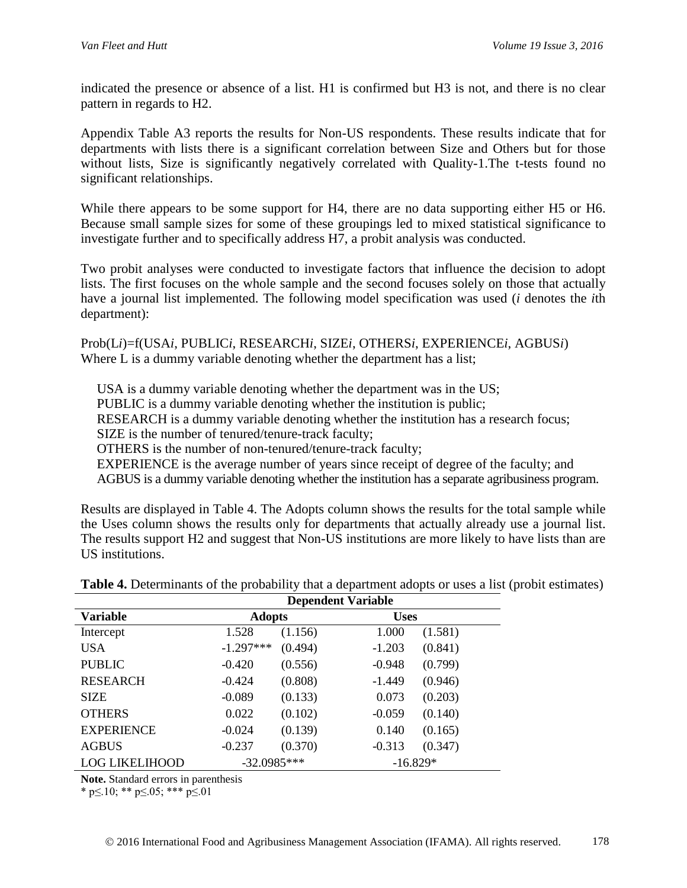indicated the presence or absence of a list. H1 is confirmed but H3 is not, and there is no clear pattern in regards to H2.

Appendix Table A3 reports the results for Non-US respondents. These results indicate that for departments with lists there is a significant correlation between Size and Others but for those without lists, Size is significantly negatively correlated with Quality-1. The t-tests found no significant relationships.

While there appears to be some support for H4, there are no data supporting either H5 or H6. Because small sample sizes for some of these groupings led to mixed statistical significance to investigate further and to specifically address H7, a probit analysis was conducted.

Two probit analyses were conducted to investigate factors that influence the decision to adopt lists. The first focuses on the whole sample and the second focuses solely on those that actually have a journal list implemented. The following model specification was used (*i* denotes the *i*th department):

Prob(L*i*)=f(USA*i*, PUBLIC*i*, RESEARCH*i*, SIZE*i*, OTHERS*i*, EXPERIENCE*i*, AGBUS*i*) Where L is a dummy variable denoting whether the department has a list;

USA is a dummy variable denoting whether the department was in the US;

PUBLIC is a dummy variable denoting whether the institution is public;

RESEARCH is a dummy variable denoting whether the institution has a research focus;

SIZE is the number of tenured/tenure-track faculty;

OTHERS is the number of non-tenured/tenure-track faculty;

EXPERIENCE is the average number of years since receipt of degree of the faculty; and

AGBUS is a dummy variable denoting whether the institution has a separate agribusiness program.

Results are displayed in Table 4. The Adopts column shows the results for the total sample while the Uses column shows the results only for departments that actually already use a journal list. The results support H2 and suggest that Non-US institutions are more likely to have lists than are US institutions.

|                   | <b>Dependent Variable</b> |         |             |         |  |  |  |  |  |  |
|-------------------|---------------------------|---------|-------------|---------|--|--|--|--|--|--|
| Variable          | <b>Adopts</b>             |         | <b>Uses</b> |         |  |  |  |  |  |  |
| Intercept         | 1.528                     | (1.156) | 1.000       | (1.581) |  |  |  |  |  |  |
| <b>USA</b>        | $-1.297***$               | (0.494) | $-1.203$    | (0.841) |  |  |  |  |  |  |
| <b>PUBLIC</b>     | $-0.420$                  | (0.556) | $-0.948$    | (0.799) |  |  |  |  |  |  |
| <b>RESEARCH</b>   | $-0.424$                  | (0.808) | $-1.449$    | (0.946) |  |  |  |  |  |  |
| <b>SIZE</b>       | $-0.089$                  | (0.133) | 0.073       | (0.203) |  |  |  |  |  |  |
| <b>OTHERS</b>     | 0.022                     | (0.102) | $-0.059$    | (0.140) |  |  |  |  |  |  |
| <b>EXPERIENCE</b> | $-0.024$                  | (0.139) | 0.140       | (0.165) |  |  |  |  |  |  |
| <b>AGBUS</b>      | $-0.237$                  | (0.370) | $-0.313$    | (0.347) |  |  |  |  |  |  |
| LOG LIKELIHOOD    | $-32.0985***$             |         | $-16.829*$  |         |  |  |  |  |  |  |

**Table 4.** Determinants of the probability that a department adopts or uses a list (probit estimates)

**Note.** Standard errors in parenthesis

\* p≤.10; \*\* p≤.05; \*\*\* p≤.01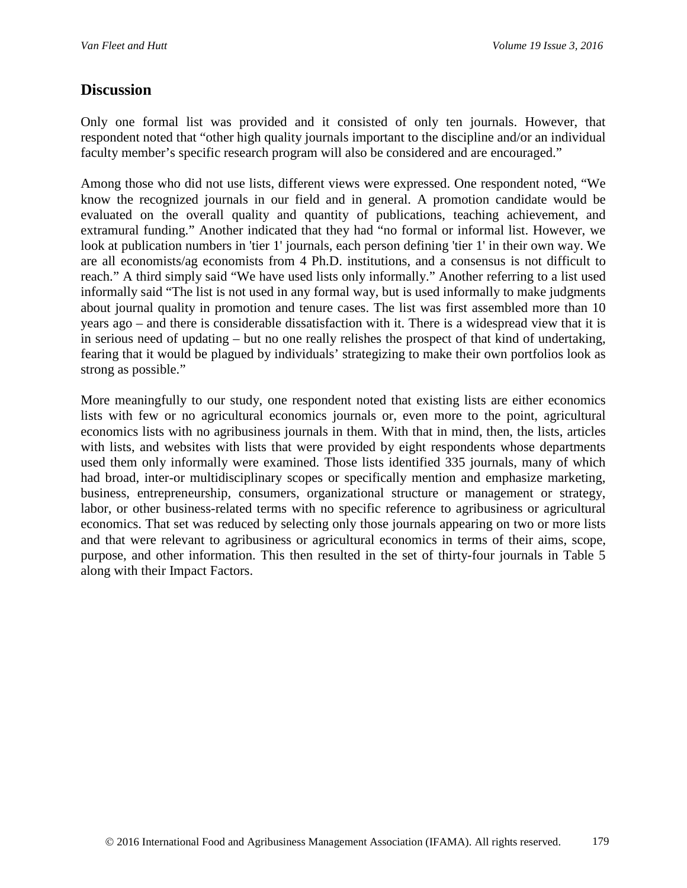### **Discussion**

Only one formal list was provided and it consisted of only ten journals. However, that respondent noted that "other high quality journals important to the discipline and/or an individual faculty member's specific research program will also be considered and are encouraged."

Among those who did not use lists, different views were expressed. One respondent noted, "We know the recognized journals in our field and in general. A promotion candidate would be evaluated on the overall quality and quantity of publications, teaching achievement, and extramural funding." Another indicated that they had "no formal or informal list. However, we look at publication numbers in 'tier 1' journals, each person defining 'tier 1' in their own way. We are all economists/ag economists from 4 Ph.D. institutions, and a consensus is not difficult to reach." A third simply said "We have used lists only informally." Another referring to a list used informally said "The list is not used in any formal way, but is used informally to make judgments about journal quality in promotion and tenure cases. The list was first assembled more than 10 years ago – and there is considerable dissatisfaction with it. There is a widespread view that it is in serious need of updating – but no one really relishes the prospect of that kind of undertaking, fearing that it would be plagued by individuals' strategizing to make their own portfolios look as strong as possible."

More meaningfully to our study, one respondent noted that existing lists are either economics lists with few or no agricultural economics journals or, even more to the point, agricultural economics lists with no agribusiness journals in them. With that in mind, then, the lists, articles with lists, and websites with lists that were provided by eight respondents whose departments used them only informally were examined. Those lists identified 335 journals, many of which had broad, inter-or multidisciplinary scopes or specifically mention and emphasize marketing, business, entrepreneurship, consumers, organizational structure or management or strategy, labor, or other business-related terms with no specific reference to agribusiness or agricultural economics. That set was reduced by selecting only those journals appearing on two or more lists and that were relevant to agribusiness or agricultural economics in terms of their aims, scope, purpose, and other information. This then resulted in the set of thirty-four journals in Table 5 along with their Impact Factors.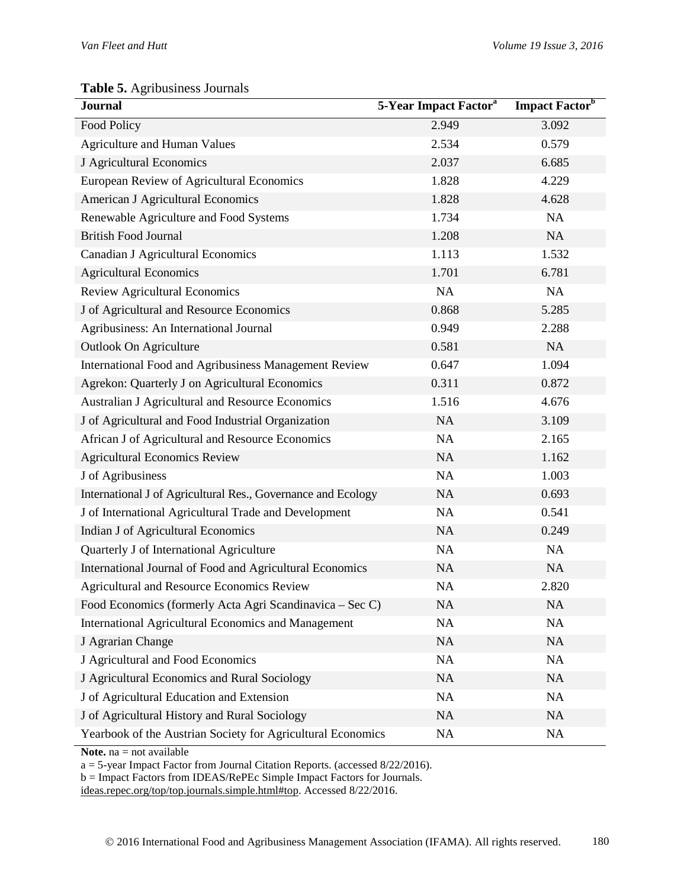#### **Table 5.** Agribusiness Journals

| <b>Journal</b>                                               | 5-Year Impact Factor <sup>a</sup> | Impact Factor <sup>b</sup> |
|--------------------------------------------------------------|-----------------------------------|----------------------------|
| Food Policy                                                  | 2.949                             | 3.092                      |
| <b>Agriculture and Human Values</b>                          | 2.534                             | 0.579                      |
| J Agricultural Economics                                     | 2.037                             | 6.685                      |
| European Review of Agricultural Economics                    | 1.828                             | 4.229                      |
| American J Agricultural Economics                            | 1.828                             | 4.628                      |
| Renewable Agriculture and Food Systems                       | 1.734                             | NA                         |
| <b>British Food Journal</b>                                  | 1.208                             | NA                         |
| Canadian J Agricultural Economics                            | 1.113                             | 1.532                      |
| <b>Agricultural Economics</b>                                | 1.701                             | 6.781                      |
| <b>Review Agricultural Economics</b>                         | NA                                | NA                         |
| J of Agricultural and Resource Economics                     | 0.868                             | 5.285                      |
| Agribusiness: An International Journal                       | 0.949                             | 2.288                      |
| Outlook On Agriculture                                       | 0.581                             | NA                         |
| International Food and Agribusiness Management Review        | 0.647                             | 1.094                      |
| Agrekon: Quarterly J on Agricultural Economics               | 0.311                             | 0.872                      |
| Australian J Agricultural and Resource Economics             | 1.516                             | 4.676                      |
| J of Agricultural and Food Industrial Organization           | NA                                | 3.109                      |
| African J of Agricultural and Resource Economics             | <b>NA</b>                         | 2.165                      |
| <b>Agricultural Economics Review</b>                         | NA                                | 1.162                      |
| J of Agribusiness                                            | <b>NA</b>                         | 1.003                      |
| International J of Agricultural Res., Governance and Ecology | NA                                | 0.693                      |
| J of International Agricultural Trade and Development        | NA                                | 0.541                      |
| Indian J of Agricultural Economics                           | NA                                | 0.249                      |
| Quarterly J of International Agriculture                     | NA                                | <b>NA</b>                  |
| International Journal of Food and Agricultural Economics     | NA                                | <b>NA</b>                  |
| Agricultural and Resource Economics Review                   | NA                                | 2.820                      |
| Food Economics (formerly Acta Agri Scandinavica – Sec C)     | <b>NA</b>                         | <b>NA</b>                  |
| International Agricultural Economics and Management          | <b>NA</b>                         | NA                         |
| J Agrarian Change                                            | NA                                | NA                         |
| J Agricultural and Food Economics                            | NA                                | NA                         |
| J Agricultural Economics and Rural Sociology                 | <b>NA</b>                         | <b>NA</b>                  |
| J of Agricultural Education and Extension                    | NA                                | <b>NA</b>                  |
| J of Agricultural History and Rural Sociology                | <b>NA</b>                         | NA                         |
| Yearbook of the Austrian Society for Agricultural Economics  | NA                                | NA                         |

**Note.** na = not available

a = 5-year Impact Factor from Journal Citation Reports. (accessed 8/22/2016).

b = Impact Factors from IDEAS/RePEc Simple Impact Factors for Journals.

[ideas.repec.org/top/top.journals.simple.html#top.](https://ideas.repec.org/top/top.journals.simple.html#top) Accessed 8/22/2016.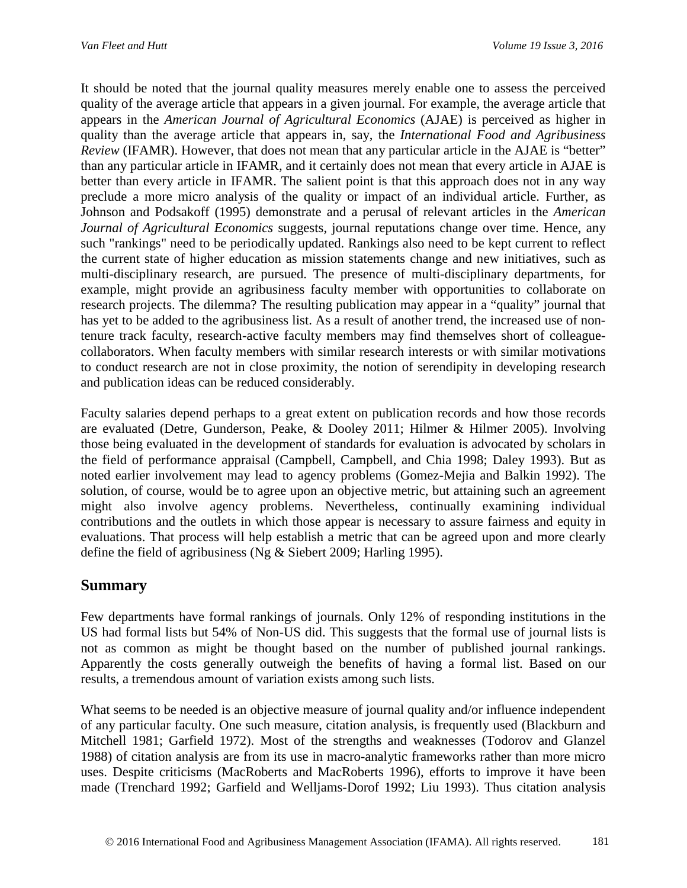It should be noted that the journal quality measures merely enable one to assess the perceived quality of the average article that appears in a given journal. For example, the average article that appears in the *American Journal of Agricultural Economics* (AJAE) is perceived as higher in quality than the average article that appears in, say, the *International Food and Agribusiness Review* (IFAMR). However, that does not mean that any particular article in the AJAE is "better" than any particular article in IFAMR, and it certainly does not mean that every article in AJAE is better than every article in IFAMR. The salient point is that this approach does not in any way preclude a more micro analysis of the quality or impact of an individual article. Further, as Johnson and Podsakoff (1995) demonstrate and a perusal of relevant articles in the *American Journal of Agricultural Economics* suggests, journal reputations change over time. Hence, any such "rankings" need to be periodically updated. Rankings also need to be kept current to reflect the current state of higher education as mission statements change and new initiatives, such as multi-disciplinary research, are pursued. The presence of multi-disciplinary departments, for example, might provide an agribusiness faculty member with opportunities to collaborate on research projects. The dilemma? The resulting publication may appear in a "quality" journal that has yet to be added to the agribusiness list. As a result of another trend, the increased use of nontenure track faculty, research-active faculty members may find themselves short of colleaguecollaborators. When faculty members with similar research interests or with similar motivations to conduct research are not in close proximity, the notion of serendipity in developing research and publication ideas can be reduced considerably.

Faculty salaries depend perhaps to a great extent on publication records and how those records are evaluated (Detre, Gunderson, Peake, & Dooley 2011; Hilmer & Hilmer 2005). Involving those being evaluated in the development of standards for evaluation is advocated by scholars in the field of performance appraisal (Campbell, Campbell, and Chia 1998; Daley 1993). But as noted earlier involvement may lead to agency problems (Gomez-Mejia and Balkin 1992). The solution, of course, would be to agree upon an objective metric, but attaining such an agreement might also involve agency problems. Nevertheless, continually examining individual contributions and the outlets in which those appear is necessary to assure fairness and equity in evaluations. That process will help establish a metric that can be agreed upon and more clearly define the field of agribusiness (Ng & Siebert 2009; Harling 1995).

### **Summary**

Few departments have formal rankings of journals. Only 12% of responding institutions in the US had formal lists but 54% of Non-US did. This suggests that the formal use of journal lists is not as common as might be thought based on the number of published journal rankings. Apparently the costs generally outweigh the benefits of having a formal list. Based on our results, a tremendous amount of variation exists among such lists.

What seems to be needed is an objective measure of journal quality and/or influence independent of any particular faculty. One such measure, citation analysis, is frequently used (Blackburn and Mitchell 1981; Garfield 1972). Most of the strengths and weaknesses (Todorov and Glanzel 1988) of citation analysis are from its use in macro-analytic frameworks rather than more micro uses. Despite criticisms (MacRoberts and MacRoberts 1996), efforts to improve it have been made (Trenchard 1992; Garfield and Welljams-Dorof 1992; Liu 1993). Thus citation analysis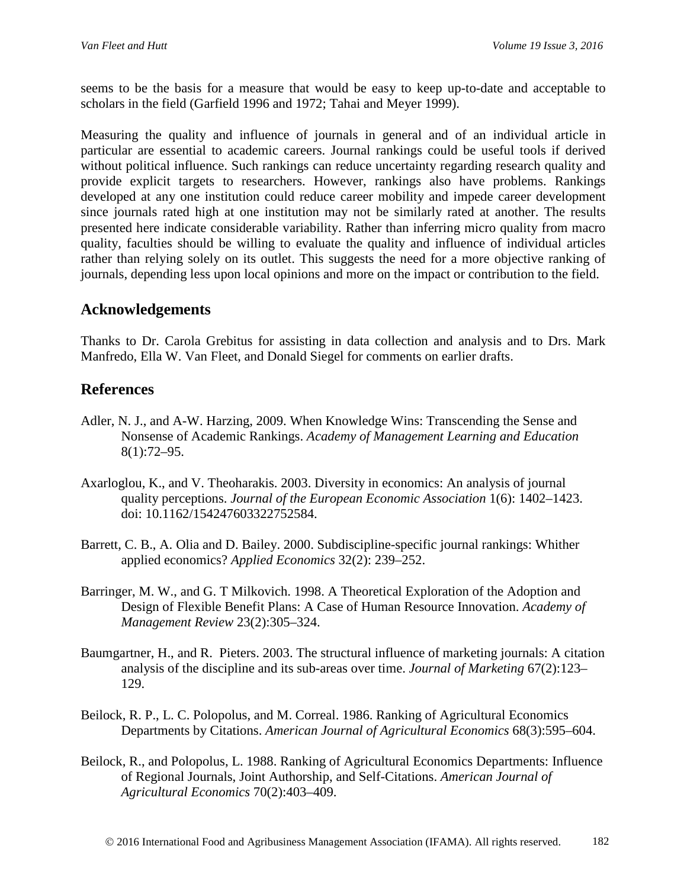seems to be the basis for a measure that would be easy to keep up-to-date and acceptable to scholars in the field (Garfield 1996 and 1972; Tahai and Meyer 1999).

Measuring the quality and influence of journals in general and of an individual article in particular are essential to academic careers. Journal rankings could be useful tools if derived without political influence. Such rankings can reduce uncertainty regarding research quality and provide explicit targets to researchers. However, rankings also have problems. Rankings developed at any one institution could reduce career mobility and impede career development since journals rated high at one institution may not be similarly rated at another. The results presented here indicate considerable variability. Rather than inferring micro quality from macro quality, faculties should be willing to evaluate the quality and influence of individual articles rather than relying solely on its outlet. This suggests the need for a more objective ranking of journals, depending less upon local opinions and more on the impact or contribution to the field.

## **Acknowledgements**

Thanks to Dr. Carola Grebitus for assisting in data collection and analysis and to Drs. Mark Manfredo, Ella W. Van Fleet, and Donald Siegel for comments on earlier drafts.

## **References**

- Adler, N. J., and A-W. Harzing, 2009. When Knowledge Wins: Transcending the Sense and Nonsense of Academic Rankings. *Academy of Management Learning and Education* 8(1):72–95.
- Axarloglou, K., and V. Theoharakis. 2003. Diversity in economics: An analysis of journal quality perceptions. *Journal of the European Economic Association* 1(6): 1402–1423. doi: 10.1162/154247603322752584.
- Barrett, C. B., A. Olia and D. Bailey. 2000. Subdiscipline-specific journal rankings: Whither applied economics? *Applied Economics* 32(2): 239–252.
- Barringer, M. W., and G. T Milkovich. 1998. A Theoretical Exploration of the Adoption and Design of Flexible Benefit Plans: A Case of Human Resource Innovation. *Academy of Management Review* 23(2):305–324.
- Baumgartner, H., and R. Pieters. 2003. The structural influence of marketing journals: A citation analysis of the discipline and its sub-areas over time. *Journal of Marketing* 67(2):123– 129.
- Beilock, R. P., L. C. Polopolus, and M. Correal. 1986. Ranking of Agricultural Economics Departments by Citations. *American Journal of Agricultural Economics* 68(3):595–604.
- Beilock, R., and Polopolus, L. 1988. Ranking of Agricultural Economics Departments: Influence of Regional Journals, Joint Authorship, and Self-Citations. *American Journal of Agricultural Economics* 70(2):403–409.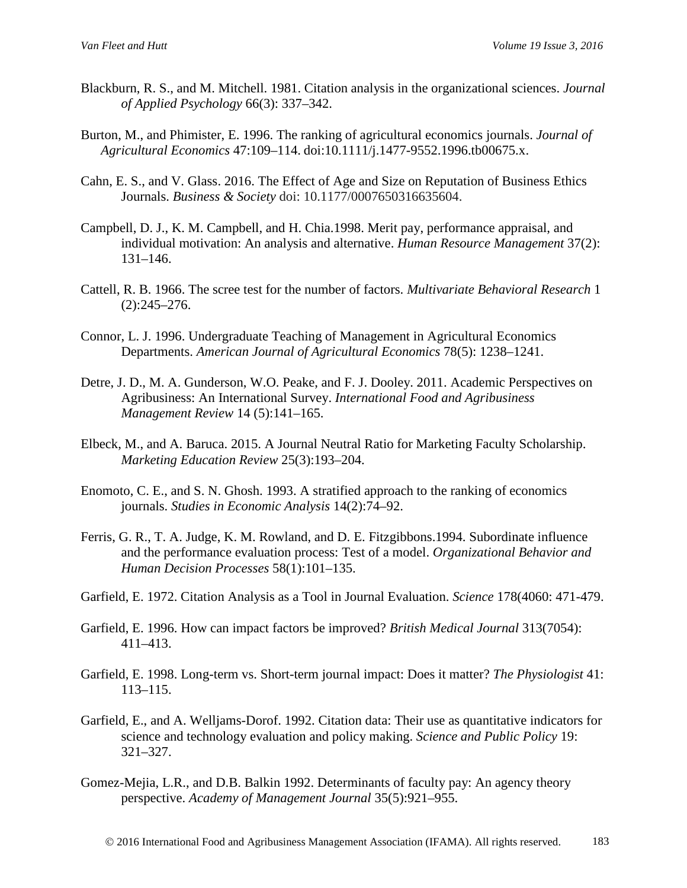- Blackburn, R. S., and M. Mitchell. 1981. Citation analysis in the organizational sciences. *Journal of Applied Psychology* 66(3): 337–342.
- Burton, M., and Phimister, E. 1996. The ranking of agricultural economics journals. *Journal of Agricultural Economics* 47:109–114. doi:10.1111/j.1477-9552.1996.tb00675.x.
- Cahn, E. S., and V. Glass. 2016. The Effect of Age and Size on Reputation of Business Ethics Journals. *Business & Society* doi: 10.1177/0007650316635604.
- Campbell, D. J., K. M. Campbell, and H. Chia.1998. Merit pay, performance appraisal, and individual motivation: An analysis and alternative. *Human Resource Management* 37(2): 131–146.
- Cattell, R. B. 1966. The scree test for the number of factors. *Multivariate Behavioral Research* 1 (2):245–276.
- Connor, L. J. 1996. Undergraduate Teaching of Management in Agricultural Economics Departments. *American Journal of Agricultural Economics* 78(5): 1238–1241.
- Detre, J. D., M. A. Gunderson, W.O. Peake, and F. J. Dooley. 2011. Academic Perspectives on Agribusiness: An International Survey. *International Food and Agribusiness Management Review* 14 (5):141–165.
- Elbeck, M., and A. Baruca. 2015. A Journal Neutral Ratio for Marketing Faculty Scholarship. *Marketing Education Review* 25(3):193–204.
- Enomoto, C. E., and S. N. Ghosh. 1993. A stratified approach to the ranking of economics journals. *Studies in Economic Analysis* 14(2):74–92.
- Ferris, G. R., T. A. Judge, K. M. Rowland, and D. E. Fitzgibbons.1994. Subordinate influence and the performance evaluation process: Test of a model. *Organizational Behavior and Human Decision Processes* 58(1):101–135.
- Garfield, E. 1972. Citation Analysis as a Tool in Journal Evaluation. *Science* 178(4060: 471-479.
- Garfield, E. 1996. How can impact factors be improved? *British Medical Journal* 313(7054): 411–413.
- Garfield, E. 1998. Long-term vs. Short-term journal impact: Does it matter? *The Physiologist* 41: 113–115.
- Garfield, E., and A. Welljams-Dorof. 1992. Citation data: Their use as quantitative indicators for science and technology evaluation and policy making. *Science and Public Policy* 19: 321–327.
- Gomez-Mejia, L.R., and D.B. Balkin 1992. Determinants of faculty pay: An agency theory perspective. *Academy of Management Journal* 35(5):921–955.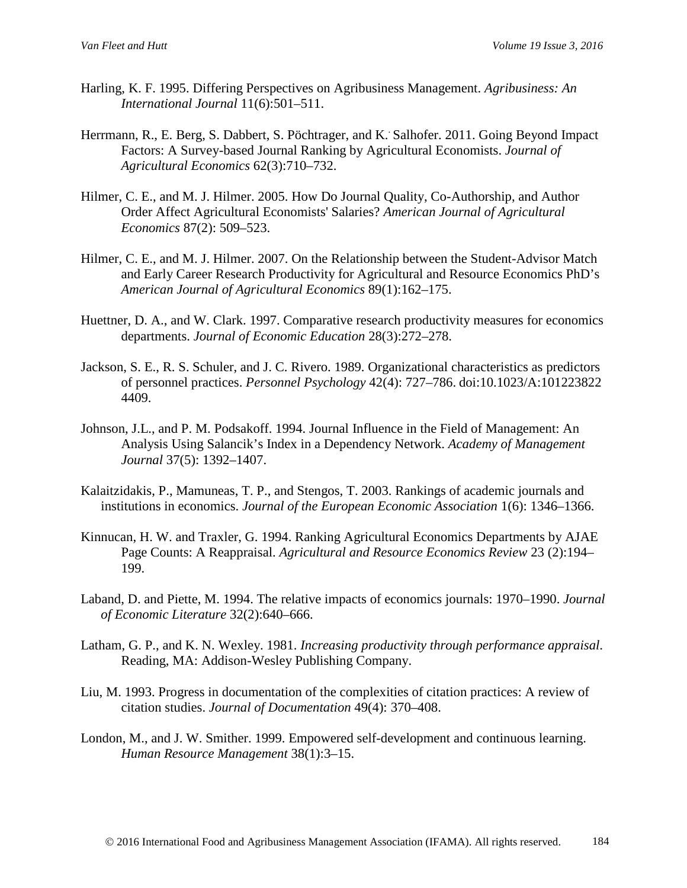- Harling, K. F. 1995. Differing Perspectives on Agribusiness Management. *Agribusiness: An International Journal* 11(6):501–511.
- Herrmann, R., E. Berg, S. Dabbert, S. Pöchtrager, and K. Salhofer. 2011. Going Beyond Impact Factors: A Survey-based Journal Ranking by Agricultural Economists. *Journal of Agricultural Economics* 62(3):710–732.
- Hilmer, C. E., and M. J. Hilmer. 2005. How Do Journal Quality, Co-Authorship, and Author Order Affect Agricultural Economists' Salaries? *American Journal of Agricultural Economics* 87(2): 509–523.
- Hilmer, C. E., and M. J. Hilmer. 2007. On the Relationship between the Student-Advisor Match and Early Career Research Productivity for Agricultural and Resource Economics PhD's *American Journal of Agricultural Economics* 89(1):162–175.
- Huettner, D. A., and W. Clark. 1997. Comparative research productivity measures for economics departments. *Journal of Economic Education* 28(3):272–278.
- Jackson, S. E., R. S. Schuler, and J. C. Rivero. 1989. Organizational characteristics as predictors of personnel practices. *Personnel Psychology* 42(4): 727–786. doi:10.1023/A:101223822 4409.
- Johnson, J.L., and P. M. Podsakoff. 1994. Journal Influence in the Field of Management: An Analysis Using Salancik's Index in a Dependency Network. *Academy of Management Journal* 37(5): 1392–1407.
- Kalaitzidakis, P., Mamuneas, T. P., and Stengos, T. 2003. Rankings of academic journals and institutions in economics. *Journal of the European Economic Association* 1(6): 1346–1366.
- Kinnucan, H. W. and Traxler, G. 1994. Ranking Agricultural Economics Departments by AJAE Page Counts: A Reappraisal. *Agricultural and Resource Economics Review* 23 (2):194– 199.
- Laband, D. and Piette, M. 1994. The relative impacts of economics journals: 1970–1990. *Journal of Economic Literature* 32(2):640–666.
- Latham, G. P., and K. N. Wexley. 1981. *Increasing productivity through performance appraisal*. Reading, MA: Addison-Wesley Publishing Company.
- Liu, M. 1993. Progress in documentation of the complexities of citation practices: A review of citation studies. *Journal of Documentation* 49(4): 370–408.
- London, M., and J. W. Smither. 1999. Empowered self-development and continuous learning. *Human Resource Management* 38(1):3–15.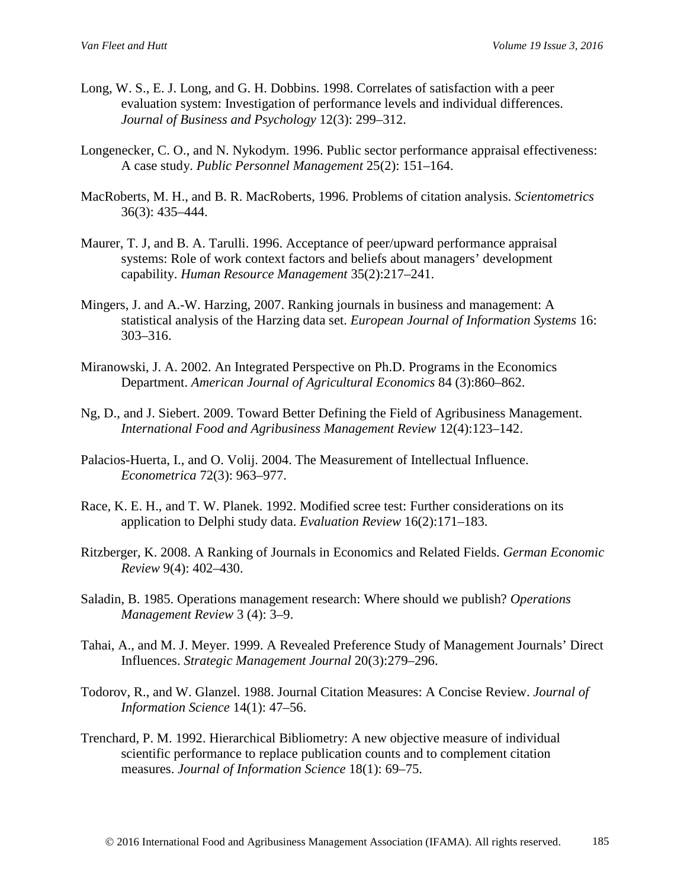- Long, W. S., E. J. Long, and G. H. Dobbins. 1998. Correlates of satisfaction with a peer evaluation system: Investigation of performance levels and individual differences. *Journal of Business and Psychology* 12(3): 299–312.
- Longenecker, C. O., and N. Nykodym. 1996. Public sector performance appraisal effectiveness: A case study. *Public Personnel Management* 25(2): 151–164.
- MacRoberts, M. H., and B. R. MacRoberts, 1996. Problems of citation analysis. *Scientometrics* 36(3): 435–444.
- Maurer, T. J, and B. A. Tarulli. 1996. Acceptance of peer/upward performance appraisal systems: Role of work context factors and beliefs about managers' development capability. *Human Resource Management* 35(2):217–241.
- Mingers, J. and A.-W. Harzing, 2007. Ranking journals in business and management: A statistical analysis of the Harzing data set. *European Journal of Information Systems* 16: 303–316.
- Miranowski, J. A. 2002. An Integrated Perspective on Ph.D. Programs in the Economics Department. *American Journal of Agricultural Economics* 84 (3):860–862.
- Ng, D., and J. Siebert. 2009. Toward Better Defining the Field of Agribusiness Management. *International Food and Agribusiness Management Review* 12(4):123–142.
- Palacios-Huerta, I., and O. Volij. 2004. The Measurement of Intellectual Influence. *Econometrica* 72(3): 963–977.
- Race, K. E. H., and T. W. Planek. 1992. Modified scree test: Further considerations on its application to Delphi study data. *Evaluation Review* 16(2):171–183.
- Ritzberger, K. 2008. A Ranking of Journals in Economics and Related Fields. *German Economic Review* 9(4): 402–430.
- Saladin, B. 1985. Operations management research: Where should we publish? *Operations Management Review* 3 (4): 3–9.
- Tahai, A., and M. J. Meyer. 1999. A Revealed Preference Study of Management Journals' Direct Influences. *Strategic Management Journal* 20(3):279–296.
- Todorov, R., and W. Glanzel. 1988. Journal Citation Measures: A Concise Review. *Journal of Information Science* 14(1): 47–56.
- Trenchard, P. M. 1992. Hierarchical Bibliometry: A new objective measure of individual scientific performance to replace publication counts and to complement citation measures. *Journal of Information Science* 18(1): 69–75.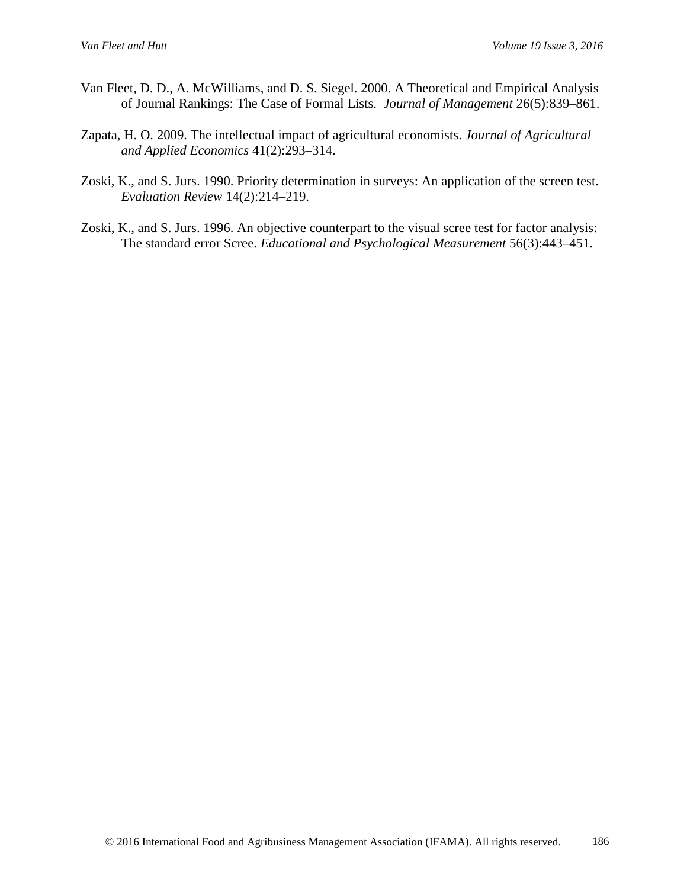- Van Fleet, D. D., A. McWilliams, and D. S. Siegel. 2000. A Theoretical and Empirical Analysis of Journal Rankings: The Case of Formal Lists. *Journal of Management* 26(5):839–861.
- Zapata, H. O. 2009. The intellectual impact of agricultural economists. *Journal of Agricultural and Applied Economics* 41(2):293–314.
- Zoski, K., and S. Jurs. 1990. Priority determination in surveys: An application of the screen test. *Evaluation Review* 14(2):214–219.
- Zoski, K., and S. Jurs. 1996. An objective counterpart to the visual scree test for factor analysis: The standard error Scree. *Educational and Psychological Measurement* 56(3):443–451.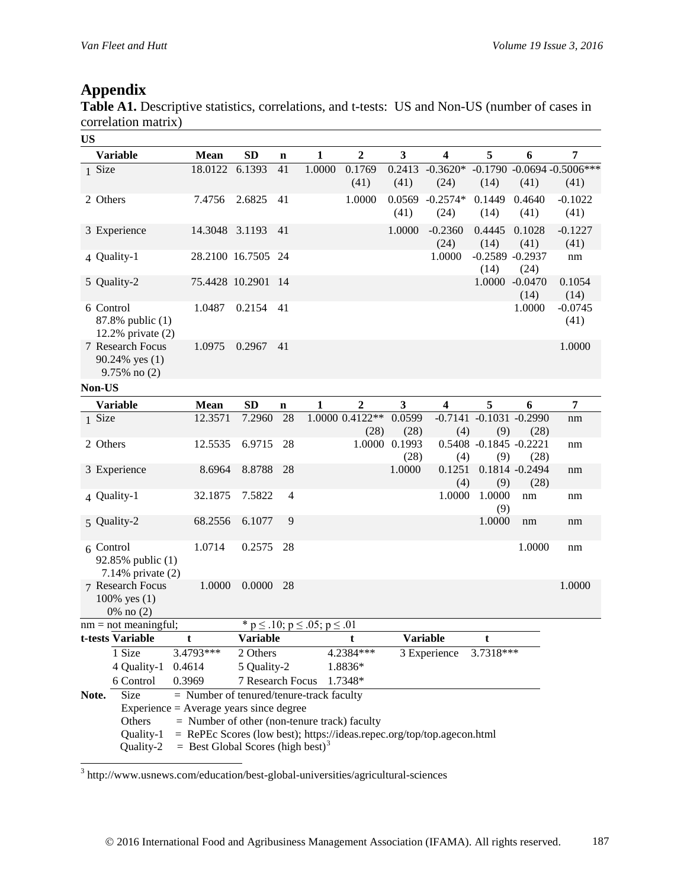## **Appendix**

Table A1. Descriptive statistics, correlations, and t-tests: US and Non-US (number of cases in correlation matrix)

| <b>US</b>                                                                                                                              |                                                                 |                                              |                  |                |                                              |                         |                |                         |                               |                           |                                        |
|----------------------------------------------------------------------------------------------------------------------------------------|-----------------------------------------------------------------|----------------------------------------------|------------------|----------------|----------------------------------------------|-------------------------|----------------|-------------------------|-------------------------------|---------------------------|----------------------------------------|
|                                                                                                                                        | <b>Variable</b>                                                 | <b>Mean</b>                                  | SD               | $\mathbf n$    | $\mathbf{1}$                                 | $\boldsymbol{2}$        | 3              | $\overline{\mathbf{4}}$ | 5                             | 6                         | 7                                      |
|                                                                                                                                        | 1 Size                                                          | 18.0122 6.1393                               |                  | 41             | 1.0000                                       | 0.1769<br>(41)          | 0.2413<br>(41) | $-0.3620*$<br>(24)      | (14)                          | (41)                      | $-0.1790 - 0.0694 - 0.5006***$<br>(41) |
|                                                                                                                                        | 2 Others                                                        | 7.4756                                       | 2.6825           | 41             |                                              | 1.0000                  | 0.0569<br>(41) | $-0.2574*$<br>(24)      | 0.1449<br>(14)                | 0.4640<br>(41)            | $-0.1022$<br>(41)                      |
|                                                                                                                                        | 3 Experience                                                    | 14.3048 3.1193                               |                  | 41             |                                              |                         | 1.0000         | $-0.2360$<br>(24)       | 0.4445<br>(14)                | 0.1028<br>(41)            | $-0.1227$<br>(41)                      |
|                                                                                                                                        | 4 Quality-1                                                     |                                              | 28.2100 16.7505  | -24            |                                              |                         |                | 1.0000                  | $-0.2589 - 0.2937$<br>(14)    | (24)                      | nm                                     |
|                                                                                                                                        | 5 Quality-2                                                     | 75.4428 10.2901                              |                  | -14            |                                              |                         |                |                         |                               | 1.0000 -0.0470<br>(14)    | 0.1054<br>(14)                         |
|                                                                                                                                        | 6 Control<br>87.8% public (1)<br>12.2% private $(2)$            | 1.0487                                       | 0.2154           | 41             |                                              |                         |                |                         |                               | 1.0000                    | $-0.0745$<br>(41)                      |
|                                                                                                                                        | 7 Research Focus<br>90.24% yes (1)<br>$9.75\%$ no $(2)$         | 1.0975                                       | 0.2967           | 41             |                                              |                         |                |                         |                               |                           | 1.0000                                 |
|                                                                                                                                        | Non-US                                                          |                                              |                  |                |                                              |                         |                |                         |                               |                           |                                        |
|                                                                                                                                        | <b>Variable</b>                                                 | Mean                                         | <b>SD</b>        | $\mathbf n$    | $\mathbf{1}$                                 | 2                       | 3              | $\overline{\mathbf{4}}$ | 5                             | 6                         | $\overline{7}$                         |
|                                                                                                                                        | 1 Size                                                          | 12.3571                                      | 7.2960           | 28             |                                              | 1.0000 0.4122**<br>(28) | 0.0599<br>(28) | $-0.7141$<br>(4)        | $-0.1031 - 0.2990$<br>(9)     | (28)                      | $\rm{nm}$                              |
|                                                                                                                                        | 2 Others                                                        | 12.5535                                      | 6.9715           | 28             |                                              | 1.0000                  | 0.1993<br>(28) | (4)                     | 0.5408 -0.1845 -0.2221<br>(9) | (28)                      | nm                                     |
|                                                                                                                                        | 3 Experience                                                    | 8.6964                                       | 8.8788           | 28             |                                              |                         | 1.0000         | 0.1251<br>(4)           | (9)                           | $0.1814 - 0.2494$<br>(28) | nm                                     |
|                                                                                                                                        | 4 Quality-1                                                     | 32.1875                                      | 7.5822           | $\overline{4}$ |                                              |                         |                | 1.0000                  | 1.0000<br>(9)                 | nm                        | nm                                     |
|                                                                                                                                        | 5 Quality-2                                                     | 68.2556                                      | 6.1077           | 9              |                                              |                         |                |                         | 1.0000                        | nm                        | nm                                     |
|                                                                                                                                        | $6$ Control<br>92.85% public (1)<br>7.14% private $(2)$         | 1.0714                                       | 0.2575           | 28             |                                              |                         |                |                         |                               | 1.0000                    | nm                                     |
|                                                                                                                                        | 7 Research Focus<br>100% yes (1)<br>0% no (2)                   | 1.0000                                       | 0.0000           | 28             |                                              |                         |                |                         |                               |                           | 1.0000                                 |
|                                                                                                                                        | $nm = not meaningful;$                                          |                                              |                  |                | * $p \le 0.10$ ; $p \le 0.05$ ; $p \le 0.01$ |                         |                |                         |                               |                           |                                        |
|                                                                                                                                        | t-tests Variable                                                | t                                            | <b>Variable</b>  |                |                                              | t                       |                | <b>Variable</b>         | t                             |                           |                                        |
|                                                                                                                                        | 1 Size                                                          | 3.4793***                                    | 2 Others         |                |                                              | 4.2384 ***              |                | 3 Experience            | 3.7318***                     |                           |                                        |
|                                                                                                                                        | 4 Quality-1                                                     | 0.4614                                       | 5 Quality-2      |                |                                              | 1.8836*                 |                |                         |                               |                           |                                        |
|                                                                                                                                        | 6 Control                                                       | 0.3969                                       | 7 Research Focus |                |                                              | 1.7348*                 |                |                         |                               |                           |                                        |
| Note.                                                                                                                                  | Size<br>$\text{Experience} = \text{Average years}$ since degree | $=$ Number of tenured/tenure-track faculty   |                  |                |                                              |                         |                |                         |                               |                           |                                        |
|                                                                                                                                        | Others                                                          | = Number of other (non-tenure track) faculty |                  |                |                                              |                         |                |                         |                               |                           |                                        |
|                                                                                                                                        | Quality-1                                                       |                                              |                  |                |                                              |                         |                |                         |                               |                           |                                        |
| = RePEc Scores (low best); https://ideas.repec.org/top/top.agecon.html<br>$=$ Best Global Scores (high best) <sup>3</sup><br>Quality-2 |                                                                 |                                              |                  |                |                                              |                         |                |                         |                               |                           |                                        |

<span id="page-16-0"></span> <sup>3</sup> http://www.usnews.com/education/best-global-universities/agricultural-sciences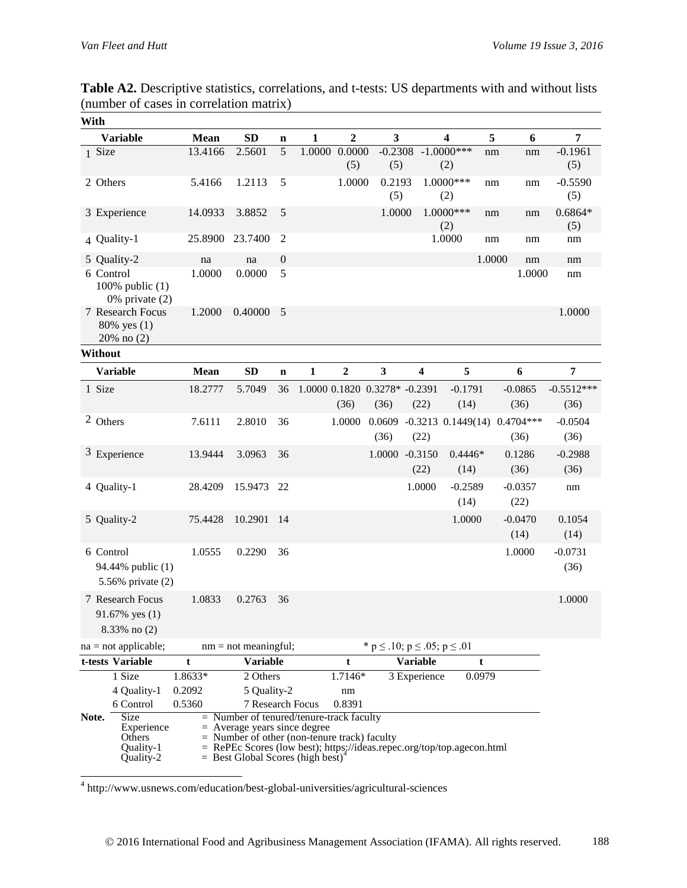| With |                                                                 |         |                                                                                                                                                                                                                                                       |                  |              |                  |                                              |                        |                         |        |                   |                   |
|------|-----------------------------------------------------------------|---------|-------------------------------------------------------------------------------------------------------------------------------------------------------------------------------------------------------------------------------------------------------|------------------|--------------|------------------|----------------------------------------------|------------------------|-------------------------|--------|-------------------|-------------------|
|      | <b>Variable</b>                                                 | Mean    | <b>SD</b>                                                                                                                                                                                                                                             | $\mathbf n$      | $\mathbf{1}$ | $\overline{2}$   | 3                                            |                        | $\overline{\mathbf{4}}$ | 5      | 6                 | 7                 |
|      | 1 Size                                                          | 13.4166 | 2.5601                                                                                                                                                                                                                                                | 5                | 1.0000       | 0.0000<br>(5)    | $-0.2308$<br>(5)                             |                        | $-1.0000***$<br>(2)     | nm     | nm                | $-0.1961$<br>(5)  |
|      | 2 Others                                                        | 5.4166  | 1.2113                                                                                                                                                                                                                                                | 5                |              | 1.0000           | 0.2193<br>(5)                                |                        | 1.0000***<br>(2)        | nm     | nm                | $-0.5590$<br>(5)  |
|      | 3 Experience                                                    | 14.0933 | 3.8852                                                                                                                                                                                                                                                | 5                |              |                  | 1.0000                                       |                        | $1.0000***$<br>(2)      | nm     | nm                | $0.6864*$<br>(5)  |
|      | 4 Quality-1                                                     | 25.8900 | 23.7400                                                                                                                                                                                                                                               | $\overline{c}$   |              |                  |                                              |                        | 1.0000                  | nm     | nm                | nm                |
|      | 5 Quality-2                                                     | na      | na                                                                                                                                                                                                                                                    | $\boldsymbol{0}$ |              |                  |                                              |                        |                         | 1.0000 | nm                | nm                |
|      | 6 Control<br>100% public $(1)$<br>$0\%$ private $(2)$           | 1.0000  | 0.0000                                                                                                                                                                                                                                                | 5                |              |                  |                                              |                        |                         |        | 1.0000            | nm                |
|      | 7 Research Focus<br>80% yes (1)<br>20% no (2)                   | 1.2000  | 0.40000                                                                                                                                                                                                                                               | 5                |              |                  |                                              |                        |                         |        |                   | 1.0000            |
|      | Without                                                         |         |                                                                                                                                                                                                                                                       |                  |              |                  |                                              |                        |                         |        |                   |                   |
|      | <b>Variable</b>                                                 | Mean    | SD                                                                                                                                                                                                                                                    | $\mathbf n$      | $\mathbf{1}$ | $\boldsymbol{2}$ | $\mathbf{3}$                                 | 4                      | 5                       |        | 6                 | 7                 |
|      | 1 Size                                                          | 18.2777 | 5.7049                                                                                                                                                                                                                                                | 36               |              |                  | 1.0000 0.1820 0.3278* -0.2391                |                        | $-0.1791$               |        | $-0.0865$         | $-0.5512***$      |
|      |                                                                 |         |                                                                                                                                                                                                                                                       |                  |              | (36)             | (36)                                         | (22)                   | (14)                    |        | (36)              | (36)              |
|      | 2 Others                                                        | 7.6111  | 2.8010                                                                                                                                                                                                                                                | 36               |              | 1.0000           | 0.0609                                       | $-0.3213$ $0.1449(14)$ |                         |        | $0.4704***$       | $-0.0504$         |
|      |                                                                 |         |                                                                                                                                                                                                                                                       |                  |              |                  | (36)                                         | (22)                   |                         |        | (36)              | (36)              |
|      | 3 Experience                                                    | 13.9444 | 3.0963                                                                                                                                                                                                                                                | 36               |              |                  |                                              | 1.0000 -0.3150<br>(22) | $0.4446*$<br>(14)       |        | 0.1286<br>(36)    | $-0.2988$<br>(36) |
|      | 4 Quality-1                                                     | 28.4209 | 15.9473                                                                                                                                                                                                                                               | 22               |              |                  |                                              | 1.0000                 | $-0.2589$<br>(14)       |        | $-0.0357$<br>(22) | nm                |
|      | 5 Quality-2                                                     | 75.4428 | 10.2901                                                                                                                                                                                                                                               | 14               |              |                  |                                              |                        | 1.0000                  |        | $-0.0470$<br>(14) | 0.1054<br>(14)    |
|      | 6 Control<br>94.44% public (1)<br>5.56% private (2)             | 1.0555  | 0.2290                                                                                                                                                                                                                                                | 36               |              |                  |                                              |                        |                         |        | 1.0000            | $-0.0731$<br>(36) |
|      | 7 Research Focus<br>91.67% yes (1)<br>8.33% no (2)              | 1.0833  | 0.2763                                                                                                                                                                                                                                                | 36               |              |                  |                                              |                        |                         |        |                   | 1.0000            |
|      | $na = not applicable;$                                          |         | $nm = not meaningful;$                                                                                                                                                                                                                                |                  |              |                  | * $p \le 0.10$ ; $p \le 0.05$ ; $p \le 0.01$ |                        |                         |        |                   |                   |
|      | t-tests Variable                                                | t       | <b>Variable</b>                                                                                                                                                                                                                                       |                  |              | t                |                                              | <b>Variable</b>        |                         | t      |                   |                   |
|      | 1 Size                                                          | 1.8633* | 2 Others                                                                                                                                                                                                                                              |                  |              | 1.7146*          |                                              | 3 Experience           |                         | 0.0979 |                   |                   |
|      | 4 Quality-1                                                     | 0.2092  | 5 Quality-2                                                                                                                                                                                                                                           |                  |              | nm               |                                              |                        |                         |        |                   |                   |
|      | 6 Control                                                       | 0.5360  | 7 Research Focus                                                                                                                                                                                                                                      |                  |              | 0.8391           |                                              |                        |                         |        |                   |                   |
|      | Size<br>Note.<br>Experience<br>Others<br>Quality-1<br>Quality-2 |         | $=$ Number of tenured/tenure-track faculty<br>$=$ Average years since degree<br>Number of other (non-tenure track) faculty<br>RePEc Scores (low best); https://ideas.repec.org/top/top.agecon.html<br>$=$ Best Global Scores (high best) <sup>4</sup> |                  |              |                  |                                              |                        |                         |        |                   |                   |

**Table A2.** Descriptive statistics, correlations, and t-tests: US departments with and without lists (number of cases in correlation matrix)

<span id="page-17-0"></span>4 http://www.usnews.com/education/best-global-universities/agricultural-sciences